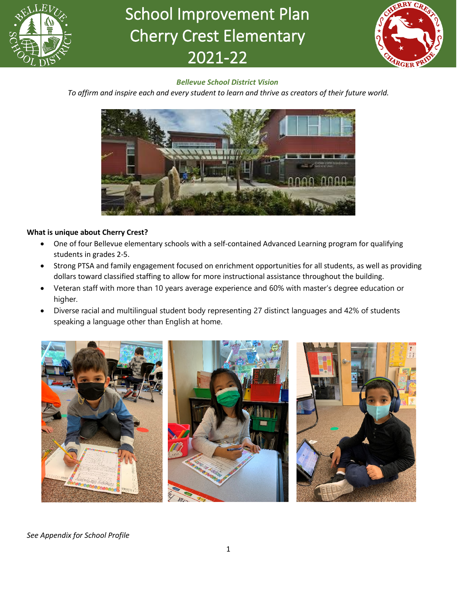

# School Improvement Plan Cherry Crest Elementary 2021-22



## *Bellevue School District Vision*

*To affirm and inspire each and every student to learn and thrive as creators of their future world.*



## **What is unique about Cherry Crest?**

- One of four Bellevue elementary schools with a self-contained Advanced Learning program for qualifying students in grades 2-5.
- Strong PTSA and family engagement focused on enrichment opportunities for all students, as well as providing dollars toward classified staffing to allow for more instructional assistance throughout the building.
- Veteran staff with more than 10 years average experience and 60% with master's degree education or higher.
- Diverse racial and multilingual student body representing 27 distinct languages and 42% of students speaking a language other than English at home.



*See Appendix for School Profile*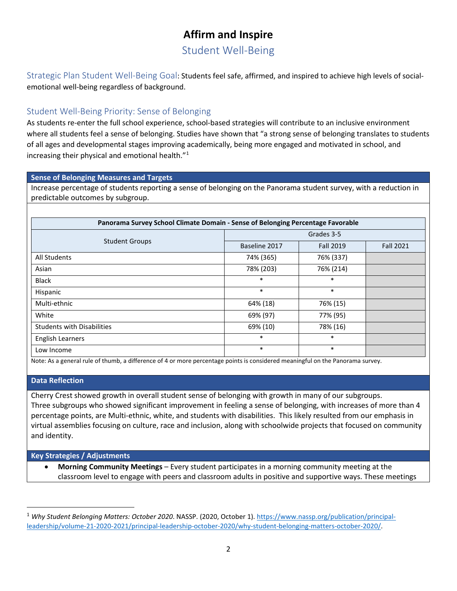# **Affirm and Inspire**

Student Well-Being

Strategic Plan Student Well-Being Goal: Students feel safe, affirmed, and inspired to achieve high levels of socialemotional well-being regardless of background.

## Student Well-Being Priority: Sense of Belonging

As students re-enter the full school experience, school-based strategies will contribute to an inclusive environment where all students feel a sense of belonging. Studies have shown that "a strong sense of belonging translates to students of all ages and developmental stages improving academically, being more engaged and motivated in school, and increasing their physical and emotional health."[1](#page-1-0)

## **Sense of Belonging Measures and Targets**

Increase percentage of students reporting a sense of belonging on the Panorama student survey, with a reduction in predictable outcomes by subgroup.

| Panorama Survey School Climate Domain - Sense of Belonging Percentage Favorable |               |                  |                  |  |  |
|---------------------------------------------------------------------------------|---------------|------------------|------------------|--|--|
|                                                                                 | Grades 3-5    |                  |                  |  |  |
| <b>Student Groups</b>                                                           | Baseline 2017 | <b>Fall 2019</b> | <b>Fall 2021</b> |  |  |
| All Students                                                                    | 74% (365)     | 76% (337)        |                  |  |  |
| Asian                                                                           | 78% (203)     | 76% (214)        |                  |  |  |
| <b>Black</b>                                                                    | $\ast$        | *                |                  |  |  |
| Hispanic                                                                        | $\ast$        | $\ast$           |                  |  |  |
| Multi-ethnic                                                                    | 64% (18)      | 76% (15)         |                  |  |  |
| White                                                                           | 69% (97)      | 77% (95)         |                  |  |  |
| <b>Students with Disabilities</b>                                               | 69% (10)      | 78% (16)         |                  |  |  |
| <b>English Learners</b>                                                         | $\ast$        | *                |                  |  |  |
| Low Income                                                                      | $\ast$        | $\ast$           |                  |  |  |

Note: As a general rule of thumb, a difference of 4 or more percentage points is considered meaningful on the Panorama survey.

## **Data Reflection**

Cherry Crest showed growth in overall student sense of belonging with growth in many of our subgroups. Three subgroups who showed significant improvement in feeling a sense of belonging, with increases of more than 4 percentage points, are Multi-ethnic, white, and students with disabilities. This likely resulted from our emphasis in virtual assemblies focusing on culture, race and inclusion, along with schoolwide projects that focused on community and identity.

## **Key Strategies / Adjustments**

• **Morning Community Meetings** – Every student participates in a morning community meeting at the classroom level to engage with peers and classroom adults in positive and supportive ways. These meetings

<span id="page-1-0"></span><sup>&</sup>lt;sup>1</sup> Why Student Belonging Matters: October 2020. NASSP. (2020, October 1). [https://www.nassp.org/publication/principal](https://www.nassp.org/publication/principal-leadership/volume-21-2020-2021/principal-leadership-october-2020/why-student-belonging-matters-october-2020/)[leadership/volume-21-2020-2021/principal-leadership-october-2020/why-student-belonging-matters-october-2020/.](https://www.nassp.org/publication/principal-leadership/volume-21-2020-2021/principal-leadership-october-2020/why-student-belonging-matters-october-2020/)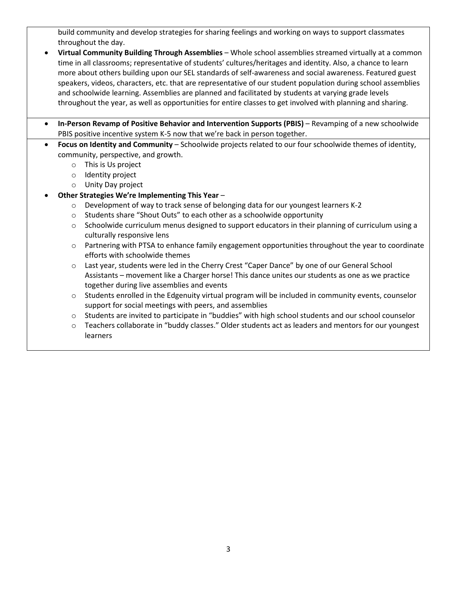build community and develop strategies for sharing feelings and working on ways to support classmates throughout the day.

• **Virtual Community Building Through Assemblies** – Whole school assemblies streamed virtually at a common time in all classrooms; representative of students' cultures/heritages and identity. Also, a chance to learn more about others building upon our SEL standards of self-awareness and social awareness. Featured guest speakers, videos, characters, etc. that are representative of our student population during school assemblies and schoolwide learning. Assemblies are planned and facilitated by students at varying grade levels throughout the year, as well as opportunities for entire classes to get involved with planning and sharing.

• **In-Person Revamp of Positive Behavior and Intervention Supports (PBIS)** – Revamping of a new schoolwide PBIS positive incentive system K-5 now that we're back in person together.

- **Focus on Identity and Community** Schoolwide projects related to our four schoolwide themes of identity, community, perspective, and growth.
	- o This is Us project
	- o Identity project
	- o Unity Day project
	- **Other Strategies We're Implementing This Year**
		- $\circ$  Development of way to track sense of belonging data for our youngest learners K-2
		- o Students share "Shout Outs" to each other as a schoolwide opportunity
		- $\circ$  Schoolwide curriculum menus designed to support educators in their planning of curriculum using a culturally responsive lens
		- o Partnering with PTSA to enhance family engagement opportunities throughout the year to coordinate efforts with schoolwide themes
		- o Last year, students were led in the Cherry Crest "Caper Dance" by one of our General School Assistants – movement like a Charger horse! This dance unites our students as one as we practice together during live assemblies and events
		- $\circ$  Students enrolled in the Edgenuity virtual program will be included in community events, counselor support for social meetings with peers, and assemblies
		- o Students are invited to participate in "buddies" with high school students and our school counselor
		- o Teachers collaborate in "buddy classes." Older students act as leaders and mentors for our youngest learners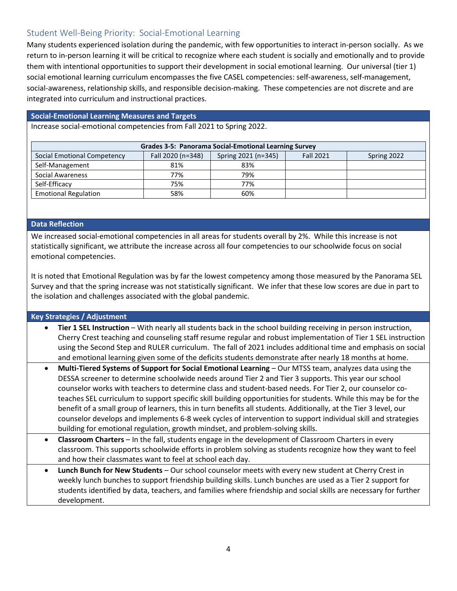## Student Well-Being Priority: Social-Emotional Learning

Many students experienced isolation during the pandemic, with few opportunities to interact in-person socially. As we return to in-person learning it will be critical to recognize where each student is socially and emotionally and to provide them with intentional opportunities to support their development in social emotional learning. Our universal (tier 1) social emotional learning curriculum encompasses the five CASEL competencies: self-awareness, self-management, social-awareness, relationship skills, and responsible decision-making. These competencies are not discrete and are integrated into curriculum and instructional practices.

#### **Social-Emotional Learning Measures and Targets**

Increase social-emotional competencies from Fall 2021 to Spring 2022.

| <b>Grades 3-5: Panorama Social-Emotional Learning Survey</b> |                   |                     |                  |             |  |  |
|--------------------------------------------------------------|-------------------|---------------------|------------------|-------------|--|--|
| Social Emotional Competency                                  | Fall 2020 (n=348) | Spring 2021 (n=345) | <b>Fall 2021</b> | Spring 2022 |  |  |
| Self-Management                                              | 81%               | 83%                 |                  |             |  |  |
| Social Awareness                                             | 77%               | 79%                 |                  |             |  |  |
| Self-Efficacy                                                | 75%               | 77%                 |                  |             |  |  |
| <b>Emotional Regulation</b>                                  | 58%               | 60%                 |                  |             |  |  |

#### **Data Reflection**

We increased social-emotional competencies in all areas for students overall by 2%. While this increase is not statistically significant, we attribute the increase across all four competencies to our schoolwide focus on social emotional competencies.

It is noted that Emotional Regulation was by far the lowest competency among those measured by the Panorama SEL Survey and that the spring increase was not statistically significant. We infer that these low scores are due in part to the isolation and challenges associated with the global pandemic.

## **Key Strategies / Adjustment**

- **Tier 1 SEL Instruction** With nearly all students back in the school building receiving in person instruction, Cherry Crest teaching and counseling staff resume regular and robust implementation of Tier 1 SEL instruction using the Second Step and RULER curriculum. The fall of 2021 includes additional time and emphasis on social and emotional learning given some of the deficits students demonstrate after nearly 18 months at home.
- **Multi-Tiered Systems of Support for Social Emotional Learning** Our MTSS team, analyzes data using the DESSA screener to determine schoolwide needs around Tier 2 and Tier 3 supports. This year our school counselor works with teachers to determine class and student-based needs. For Tier 2, our counselor coteaches SEL curriculum to support specific skill building opportunities for students. While this may be for the benefit of a small group of learners, this in turn benefits all students. Additionally, at the Tier 3 level, our counselor develops and implements 6-8 week cycles of intervention to support individual skill and strategies building for emotional regulation, growth mindset, and problem-solving skills.
- **Classroom Charters** In the fall, students engage in the development of Classroom Charters in every classroom. This supports schoolwide efforts in problem solving as students recognize how they want to feel and how their classmates want to feel at school each day.
- **Lunch Bunch for New Students** Our school counselor meets with every new student at Cherry Crest in weekly lunch bunches to support friendship building skills. Lunch bunches are used as a Tier 2 support for students identified by data, teachers, and families where friendship and social skills are necessary for further development.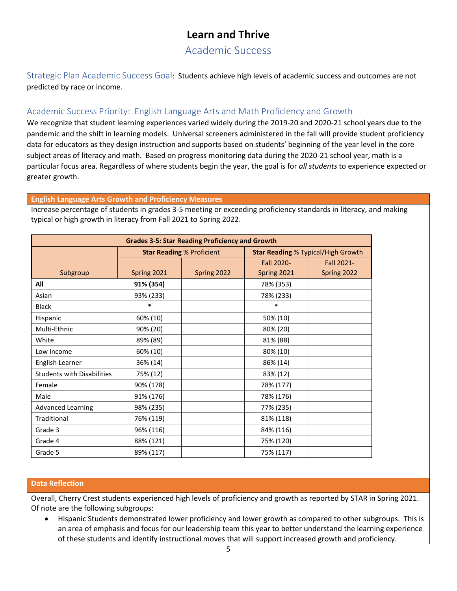## **Learn and Thrive**

## Academic Success

Strategic Plan Academic Success Goal: Students achieve high levels of academic success and outcomes are not predicted by race or income.

## Academic Success Priority: English Language Arts and Math Proficiency and Growth

We recognize that student learning experiences varied widely during the 2019-20 and 2020-21 school years due to the pandemic and the shift in learning models. Universal screeners administered in the fall will provide student proficiency data for educators as they design instruction and supports based on students' beginning of the year level in the core subject areas of literacy and math. Based on progress monitoring data during the 2020-21 school year, math is a particular focus area. Regardless of where students begin the year, the goal is for *all students* to experience expected or greater growth.

## **English Language Arts Growth and Proficiency Measures**

Increase percentage of students in grades 3-5 meeting or exceeding proficiency standards in literacy, and making typical or high growth in literacy from Fall 2021 to Spring 2022.

| <b>Grades 3-5: Star Reading Proficiency and Growth</b> |             |                                  |                                           |                   |  |
|--------------------------------------------------------|-------------|----------------------------------|-------------------------------------------|-------------------|--|
|                                                        |             | <b>Star Reading % Proficient</b> | <b>Star Reading % Typical/High Growth</b> |                   |  |
|                                                        |             |                                  | Fall 2020-                                | <b>Fall 2021-</b> |  |
| Subgroup                                               | Spring 2021 | Spring 2022                      | Spring 2021                               | Spring 2022       |  |
| All                                                    | 91% (354)   |                                  | 78% (353)                                 |                   |  |
| Asian                                                  | 93% (233)   |                                  | 78% (233)                                 |                   |  |
| <b>Black</b>                                           | $\ast$      |                                  | $\ast$                                    |                   |  |
| Hispanic                                               | 60% (10)    |                                  | 50% (10)                                  |                   |  |
| Multi-Ethnic                                           | 90% (20)    |                                  | 80% (20)                                  |                   |  |
| White                                                  | 89% (89)    |                                  | 81% (88)                                  |                   |  |
| Low Income                                             | 60% (10)    |                                  | 80% (10)                                  |                   |  |
| English Learner                                        | 36% (14)    |                                  | 86% (14)                                  |                   |  |
| <b>Students with Disabilities</b>                      | 75% (12)    |                                  | 83% (12)                                  |                   |  |
| Female                                                 | 90% (178)   |                                  | 78% (177)                                 |                   |  |
| Male                                                   | 91% (176)   |                                  | 78% (176)                                 |                   |  |
| <b>Advanced Learning</b>                               | 98% (235)   |                                  | 77% (235)                                 |                   |  |
| Traditional                                            | 76% (119)   |                                  | 81% (118)                                 |                   |  |
| Grade 3                                                | 96% (116)   |                                  | 84% (116)                                 |                   |  |
| Grade 4                                                | 88% (121)   |                                  | 75% (120)                                 |                   |  |
| Grade 5                                                | 89% (117)   |                                  | 75% (117)                                 |                   |  |

#### **Data Reflection**

Overall, Cherry Crest students experienced high levels of proficiency and growth as reported by STAR in Spring 2021. Of note are the following subgroups:

• Hispanic Students demonstrated lower proficiency and lower growth as compared to other subgroups. This is an area of emphasis and focus for our leadership team this year to better understand the learning experience of these students and identify instructional moves that will support increased growth and proficiency.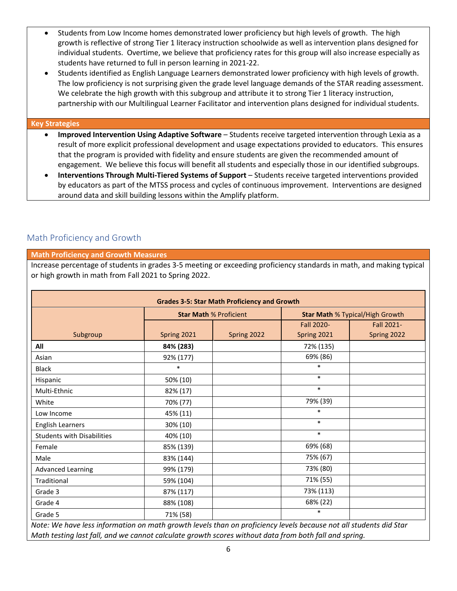- Students from Low Income homes demonstrated lower proficiency but high levels of growth. The high growth is reflective of strong Tier 1 literacy instruction schoolwide as well as intervention plans designed for individual students. Overtime, we believe that proficiency rates for this group will also increase especially as students have returned to full in person learning in 2021-22.
- Students identified as English Language Learners demonstrated lower proficiency with high levels of growth. The low proficiency is not surprising given the grade level language demands of the STAR reading assessment. We celebrate the high growth with this subgroup and attribute it to strong Tier 1 literacy instruction, partnership with our Multilingual Learner Facilitator and intervention plans designed for individual students.

#### **Key Strategies**

- **Improved Intervention Using Adaptive Software** Students receive targeted intervention through Lexia as a result of more explicit professional development and usage expectations provided to educators. This ensures that the program is provided with fidelity and ensure students are given the recommended amount of engagement. We believe this focus will benefit all students and especially those in our identified subgroups.
- **Interventions Through Multi-Tiered Systems of Support** Students receive targeted interventions provided by educators as part of the MTSS process and cycles of continuous improvement. Interventions are designed around data and skill building lessons within the Amplify platform.

## Math Proficiency and Growth

## **Math Proficiency and Growth Measures**

Increase percentage of students in grades 3-5 meeting or exceeding proficiency standards in math, and making typical or high growth in math from Fall 2021 to Spring 2022.

|                                   |             | <b>Star Math % Proficient</b> | <b>Star Math % Typical/High Growth</b> |             |  |
|-----------------------------------|-------------|-------------------------------|----------------------------------------|-------------|--|
|                                   |             |                               | Fall 2020-                             | Fall 2021-  |  |
| Subgroup                          | Spring 2021 | Spring 2022                   | Spring 2021                            | Spring 2022 |  |
| All                               | 84% (283)   |                               | 72% (135)                              |             |  |
| Asian                             | 92% (177)   |                               | 69% (86)                               |             |  |
| <b>Black</b>                      | $\ast$      |                               | $\ast$                                 |             |  |
| Hispanic                          | 50% (10)    |                               | $\ast$                                 |             |  |
| Multi-Ethnic                      | 82% (17)    |                               | $\ast$                                 |             |  |
| White                             | 70% (77)    |                               | 79% (39)                               |             |  |
| Low Income                        | 45% (11)    |                               | $\ast$                                 |             |  |
| <b>English Learners</b>           | 30% (10)    |                               | $\ast$                                 |             |  |
| <b>Students with Disabilities</b> | 40% (10)    |                               | $\ast$                                 |             |  |
| Female                            | 85% (139)   |                               | 69% (68)                               |             |  |
| Male                              | 83% (144)   |                               | 75% (67)                               |             |  |
| <b>Advanced Learning</b>          | 99% (179)   |                               | 73% (80)                               |             |  |
| Traditional                       | 59% (104)   |                               | 71% (55)                               |             |  |
| Grade 3                           | 87% (117)   |                               | 73% (113)                              |             |  |
| Grade 4                           | 88% (108)   |                               | 68% (22)                               |             |  |
| Grade 5                           | 71% (58)    |                               | $\ast$                                 |             |  |

*Note: We have less information on math growth levels than on proficiency levels because not all students did Star Math testing last fall, and we cannot calculate growth scores without data from both fall and spring.*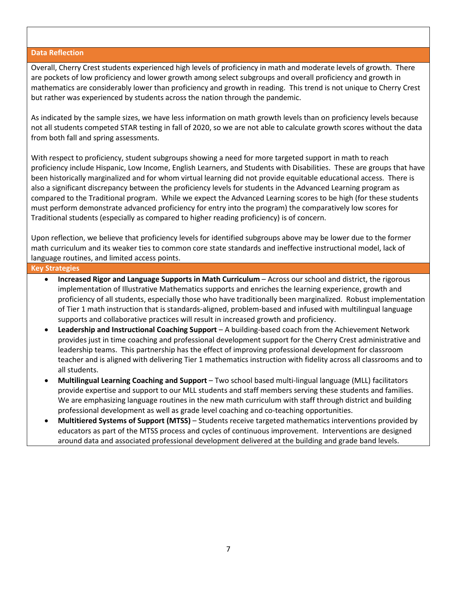#### **Data Reflection**

Overall, Cherry Crest students experienced high levels of proficiency in math and moderate levels of growth. There are pockets of low proficiency and lower growth among select subgroups and overall proficiency and growth in mathematics are considerably lower than proficiency and growth in reading. This trend is not unique to Cherry Crest but rather was experienced by students across the nation through the pandemic.

As indicated by the sample sizes, we have less information on math growth levels than on proficiency levels because not all students competed STAR testing in fall of 2020, so we are not able to calculate growth scores without the data from both fall and spring assessments.

With respect to proficiency, student subgroups showing a need for more targeted support in math to reach proficiency include Hispanic, Low Income, English Learners, and Students with Disabilities. These are groups that have been historically marginalized and for whom virtual learning did not provide equitable educational access. There is also a significant discrepancy between the proficiency levels for students in the Advanced Learning program as compared to the Traditional program. While we expect the Advanced Learning scores to be high (for these students must perform demonstrate advanced proficiency for entry into the program) the comparatively low scores for Traditional students (especially as compared to higher reading proficiency) is of concern.

Upon reflection, we believe that proficiency levels for identified subgroups above may be lower due to the former math curriculum and its weaker ties to common core state standards and ineffective instructional model, lack of language routines, and limited access points.

#### **Key Strategies**

- **Increased Rigor and Language Supports in Math Curriculum** Across our school and district, the rigorous implementation of Illustrative Mathematics supports and enriches the learning experience, growth and proficiency of all students, especially those who have traditionally been marginalized. Robust implementation of Tier 1 math instruction that is standards-aligned, problem-based and infused with multilingual language supports and collaborative practices will result in increased growth and proficiency.
- **Leadership and Instructional Coaching Support** A building-based coach from the Achievement Network provides just in time coaching and professional development support for the Cherry Crest administrative and leadership teams. This partnership has the effect of improving professional development for classroom teacher and is aligned with delivering Tier 1 mathematics instruction with fidelity across all classrooms and to all students.
- **Multilingual Learning Coaching and Support** Two school based multi-lingual language (MLL) facilitators provide expertise and support to our MLL students and staff members serving these students and families. We are emphasizing language routines in the new math curriculum with staff through district and building professional development as well as grade level coaching and co-teaching opportunities.
- **Multitiered Systems of Support (MTSS)** Students receive targeted mathematics interventions provided by educators as part of the MTSS process and cycles of continuous improvement. Interventions are designed around data and associated professional development delivered at the building and grade band levels.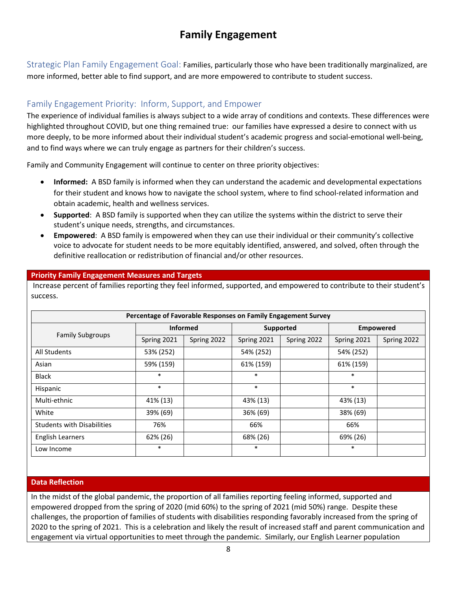# **Family Engagement**

Strategic Plan Family Engagement Goal: Families, particularly those who have been traditionally marginalized, are more informed, better able to find support, and are more empowered to contribute to student success.

## Family Engagement Priority: Inform, Support, and Empower

The experience of individual families is always subject to a wide array of conditions and contexts. These differences were highlighted throughout COVID, but one thing remained true: our families have expressed a desire to connect with us more deeply, to be more informed about their individual student's academic progress and social-emotional well-being, and to find ways where we can truly engage as partners for their children's success.

Family and Community Engagement will continue to center on three priority objectives:

- **Informed:** A BSD family is informed when they can understand the academic and developmental expectations for their student and knows how to navigate the school system, where to find school-related information and obtain academic, health and wellness services.
- **Supported**: A BSD family is supported when they can utilize the systems within the district to serve their student's unique needs, strengths, and circumstances.
- **Empowered**: A BSD family is empowered when they can use their individual or their community's collective voice to advocate for student needs to be more equitably identified, answered, and solved, often through the definitive reallocation or redistribution of financial and/or other resources.

## **Priority Family Engagement Measures and Targets**

Increase percent of families reporting they feel informed, supported, and empowered to contribute to their student's success.

| Percentage of Favorable Responses on Family Engagement Survey |                 |             |             |             |                  |             |  |
|---------------------------------------------------------------|-----------------|-------------|-------------|-------------|------------------|-------------|--|
| <b>Family Subgroups</b>                                       | <b>Informed</b> |             | Supported   |             | <b>Empowered</b> |             |  |
|                                                               | Spring 2021     | Spring 2022 | Spring 2021 | Spring 2022 | Spring 2021      | Spring 2022 |  |
| All Students                                                  | 53% (252)       |             | 54% (252)   |             | 54% (252)        |             |  |
| Asian                                                         | 59% (159)       |             | 61% (159)   |             | 61% (159)        |             |  |
| <b>Black</b>                                                  | $\ast$          |             | $\ast$      |             | $\ast$           |             |  |
| Hispanic                                                      | $\ast$          |             | $\ast$      |             | $\ast$           |             |  |
| Multi-ethnic                                                  | 41% (13)        |             | 43% (13)    |             | 43% (13)         |             |  |
| White                                                         | 39% (69)        |             | 36% (69)    |             | 38% (69)         |             |  |
| <b>Students with Disabilities</b>                             | 76%             |             | 66%         |             | 66%              |             |  |
| <b>English Learners</b>                                       | 62% (26)        |             | 68% (26)    |             | 69% (26)         |             |  |
| Low Income                                                    | $\ast$          |             | $\ast$      |             | $\ast$           |             |  |

## **Data Reflection**

In the midst of the global pandemic, the proportion of all families reporting feeling informed, supported and empowered dropped from the spring of 2020 (mid 60%) to the spring of 2021 (mid 50%) range. Despite these challenges, the proportion of families of students with disabilities responding favorably increased from the spring of 2020 to the spring of 2021. This is a celebration and likely the result of increased staff and parent communication and engagement via virtual opportunities to meet through the pandemic. Similarly, our English Learner population